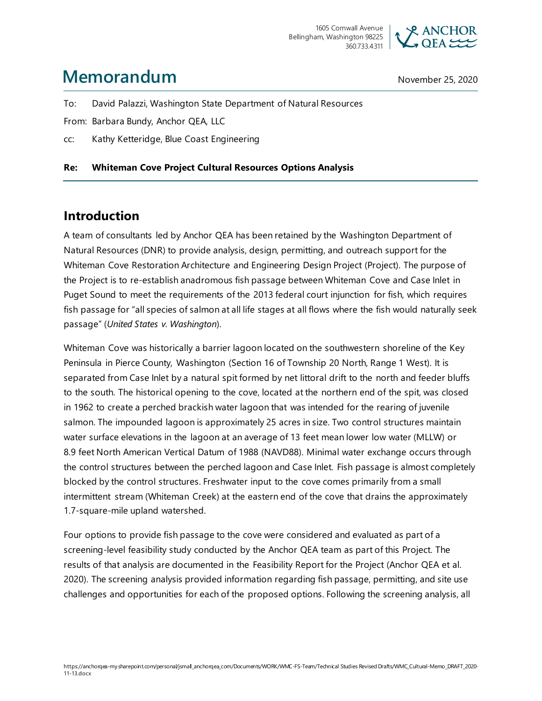

# **Memorandum** November 25, 2020

To: David Palazzi, Washington State Department of Natural Resources

From: Barbara Bundy, Anchor QEA, LLC

cc: Kathy Ketteridge, Blue Coast Engineering

#### **Re: Whiteman Cove Project Cultural Resources Options Analysis**

## **Introduction**

A team of consultants led by Anchor QEA has been retained by the Washington Department of Natural Resources (DNR) to provide analysis, design, permitting, and outreach support for the Whiteman Cove Restoration Architecture and Engineering Design Project (Project). The purpose of the Project is to re-establish anadromous fish passage between Whiteman Cove and Case Inlet in Puget Sound to meet the requirements of the 2013 federal court injunction for fish, which requires fish passage for "all species of salmon at all life stages at all flows where the fish would naturally seek passage" (*United States v. Washington*).

Whiteman Cove was historically a barrier lagoon located on the southwestern shoreline of the Key Peninsula in Pierce County, Washington (Section 16 of Township 20 North, Range 1 West). It is separated from Case Inlet by a natural spit formed by net littoral drift to the north and feeder bluffs to the south. The historical opening to the cove, located at the northern end of the spit, was closed in 1962 to create a perched brackish water lagoon that was intended for the rearing of juvenile salmon. The impounded lagoon is approximately 25 acres in size. Two control structures maintain water surface elevations in the lagoon at an average of 13 feet mean lower low water (MLLW) or 8.9 feet North American Vertical Datum of 1988 (NAVD88). Minimal water exchange occurs through the control structures between the perched lagoon and Case Inlet. Fish passage is almost completely blocked by the control structures. Freshwater input to the cove comes primarily from a small intermittent stream (Whiteman Creek) at the eastern end of the cove that drains the approximately 1.7-square-mile upland watershed.

Four options to provide fish passage to the cove were considered and evaluated as part of a screening-level feasibility study conducted by the Anchor QEA team as part of this Project. The results of that analysis are documented in the Feasibility Report for the Project (Anchor QEA et al. 2020). The screening analysis provided information regarding fish passage, permitting, and site use challenges and opportunities for each of the proposed options. Following the screening analysis, all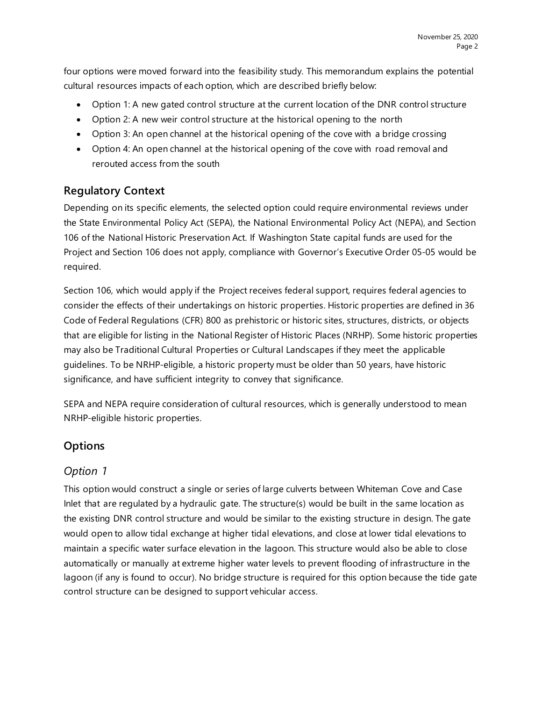four options were moved forward into the feasibility study. This memorandum explains the potential cultural resources impacts of each option, which are described briefly below:

- Option 1: A new gated control structure at the current location of the DNR control structure
- Option 2: A new weir control structure at the historical opening to the north
- Option 3: An open channel at the historical opening of the cove with a bridge crossing
- Option 4: An open channel at the historical opening of the cove with road removal and rerouted access from the south

#### **Regulatory Context**

Depending on its specific elements, the selected option could require environmental reviews under the State Environmental Policy Act (SEPA), the National Environmental Policy Act (NEPA), and Section 106 of the National Historic Preservation Act. If Washington State capital funds are used for the Project and Section 106 does not apply, compliance with Governor's Executive Order 05-05 would be required.

Section 106, which would apply if the Project receives federal support, requires federal agencies to consider the effects of their undertakings on historic properties. Historic properties are defined in 36 Code of Federal Regulations (CFR) 800 as prehistoric or historic sites, structures, districts, or objects that are eligible for listing in the National Register of Historic Places (NRHP). Some historic properties may also be Traditional Cultural Properties or Cultural Landscapes if they meet the applicable guidelines. To be NRHP-eligible, a historic property must be older than 50 years, have historic significance, and have sufficient integrity to convey that significance.

SEPA and NEPA require consideration of cultural resources, which is generally understood to mean NRHP-eligible historic properties.

## **Options**

#### *Option 1*

This option would construct a single or series of large culverts between Whiteman Cove and Case Inlet that are regulated by a hydraulic gate. The structure(s) would be built in the same location as the existing DNR control structure and would be similar to the existing structure in design. The gate would open to allow tidal exchange at higher tidal elevations, and close at lower tidal elevations to maintain a specific water surface elevation in the lagoon. This structure would also be able to close automatically or manually at extreme higher water levels to prevent flooding of infrastructure in the lagoon (if any is found to occur). No bridge structure is required for this option because the tide gate control structure can be designed to support vehicular access.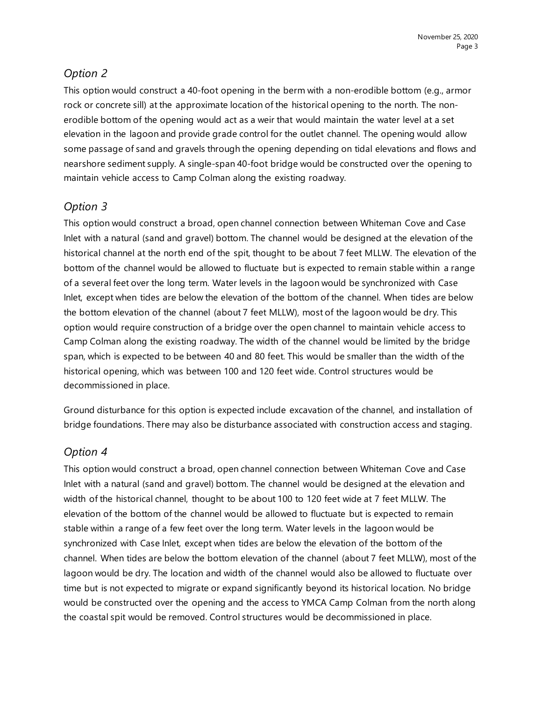## *Option 2*

This option would construct a 40-foot opening in the berm with a non-erodible bottom (e.g., armor rock or concrete sill) at the approximate location of the historical opening to the north. The nonerodible bottom of the opening would act as a weir that would maintain the water level at a set elevation in the lagoon and provide grade control for the outlet channel. The opening would allow some passage of sand and gravels through the opening depending on tidal elevations and flows and nearshore sediment supply. A single-span 40-foot bridge would be constructed over the opening to maintain vehicle access to Camp Colman along the existing roadway.

## *Option 3*

This option would construct a broad, open channel connection between Whiteman Cove and Case Inlet with a natural (sand and gravel) bottom. The channel would be designed at the elevation of the historical channel at the north end of the spit, thought to be about 7 feet MLLW. The elevation of the bottom of the channel would be allowed to fluctuate but is expected to remain stable within a range of a several feet over the long term. Water levels in the lagoon would be synchronized with Case Inlet, except when tides are below the elevation of the bottom of the channel. When tides are below the bottom elevation of the channel (about 7 feet MLLW), most of the lagoon would be dry. This option would require construction of a bridge over the open channel to maintain vehicle access to Camp Colman along the existing roadway. The width of the channel would be limited by the bridge span, which is expected to be between 40 and 80 feet. This would be smaller than the width of the historical opening, which was between 100 and 120 feet wide. Control structures would be decommissioned in place.

Ground disturbance for this option is expected include excavation of the channel, and installation of bridge foundations. There may also be disturbance associated with construction access and staging.

## *Option 4*

This option would construct a broad, open channel connection between Whiteman Cove and Case Inlet with a natural (sand and gravel) bottom. The channel would be designed at the elevation and width of the historical channel, thought to be about 100 to 120 feet wide at 7 feet MLLW. The elevation of the bottom of the channel would be allowed to fluctuate but is expected to remain stable within a range of a few feet over the long term. Water levels in the lagoon would be synchronized with Case Inlet, except when tides are below the elevation of the bottom of the channel. When tides are below the bottom elevation of the channel (about 7 feet MLLW), most of the lagoon would be dry. The location and width of the channel would also be allowed to fluctuate over time but is not expected to migrate or expand significantly beyond its historical location. No bridge would be constructed over the opening and the access to YMCA Camp Colman from the north along the coastal spit would be removed. Control structures would be decommissioned in place.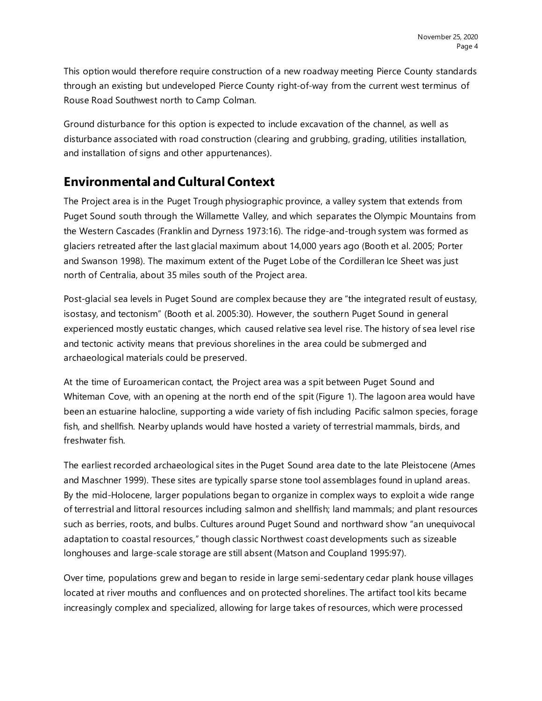This option would therefore require construction of a new roadway meeting Pierce County standards through an existing but undeveloped Pierce County right-of-way from the current west terminus of Rouse Road Southwest north to Camp Colman.

Ground disturbance for this option is expected to include excavation of the channel, as well as disturbance associated with road construction (clearing and grubbing, grading, utilities installation, and installation of signs and other appurtenances).

## **Environmental and Cultural Context**

The Project area is in the Puget Trough physiographic province, a valley system that extends from Puget Sound south through the Willamette Valley, and which separates the Olympic Mountains from the Western Cascades (Franklin and Dyrness 1973:16). The ridge-and-trough system was formed as glaciers retreated after the last glacial maximum about 14,000 years ago (Booth et al. 2005; Porter and Swanson 1998). The maximum extent of the Puget Lobe of the Cordilleran Ice Sheet was just north of Centralia, about 35 miles south of the Project area.

Post-glacial sea levels in Puget Sound are complex because they are "the integrated result of eustasy, isostasy, and tectonism" (Booth et al. 2005:30). However, the southern Puget Sound in general experienced mostly eustatic changes, which caused relative sea level rise. The history of sea level rise and tectonic activity means that previous shorelines in the area could be submerged and archaeological materials could be preserved.

At the time of Euroamerican contact, the Project area was a spit between Puget Sound and Whiteman Cove, with an opening at the north end of the spit (Figure 1). The lagoon area would have been an estuarine halocline, supporting a wide variety of fish including Pacific salmon species, forage fish, and shellfish. Nearby uplands would have hosted a variety of terrestrial mammals, birds, and freshwater fish.

The earliest recorded archaeological sites in the Puget Sound area date to the late Pleistocene (Ames and Maschner 1999). These sites are typically sparse stone tool assemblages found in upland areas. By the mid-Holocene, larger populations began to organize in complex ways to exploit a wide range of terrestrial and littoral resources including salmon and shellfish; land mammals; and plant resources such as berries, roots, and bulbs. Cultures around Puget Sound and northward show "an unequivocal adaptation to coastal resources," though classic Northwest coast developments such as sizeable longhouses and large-scale storage are still absent (Matson and Coupland 1995:97).

Over time, populations grew and began to reside in large semi-sedentary cedar plank house villages located at river mouths and confluences and on protected shorelines. The artifact tool kits became increasingly complex and specialized, allowing for large takes of resources, which were processed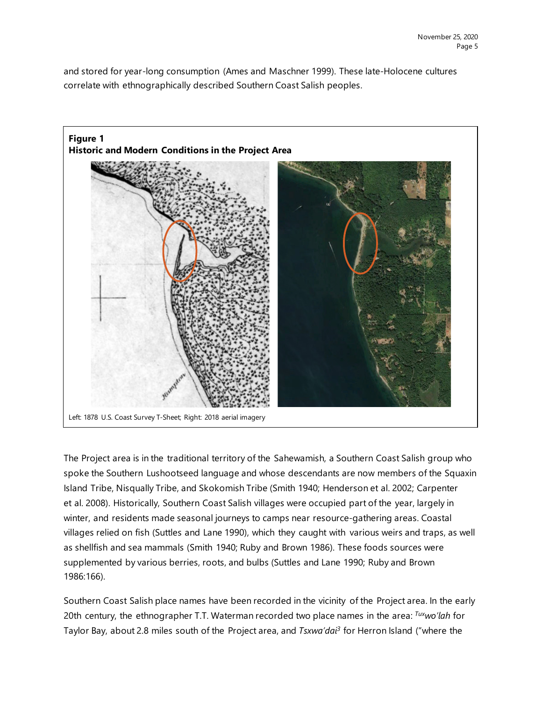and stored for year-long consumption (Ames and Maschner 1999). These late-Holocene cultures correlate with ethnographically described Southern Coast Salish peoples.



The Project area is in the traditional territory of the Sahewamish, a Southern Coast Salish group who spoke the Southern Lushootseed language and whose descendants are now members of the Squaxin Island Tribe, Nisqually Tribe, and Skokomish Tribe (Smith 1940; Henderson et al. 2002; Carpenter et al. 2008). Historically, Southern Coast Salish villages were occupied part of the year, largely in winter, and residents made seasonal journeys to camps near resource-gathering areas. Coastal villages relied on fish (Suttles and Lane 1990), which they caught with various weirs and traps, as well as shellfish and sea mammals (Smith 1940; Ruby and Brown 1986). These foods sources were supplemented by various berries, roots, and bulbs (Suttles and Lane 1990; Ruby and Brown 1986:166).

Southern Coast Salish place names have been recorded in the vicinity of the Project area. In the early 20th century, the ethnographer T.T. Waterman recorded two place names in the area: *Tuxwo'lah* for Taylor Bay, about 2.8 miles south of the Project area, and *Tsxwa'dai3* for Herron Island ("where the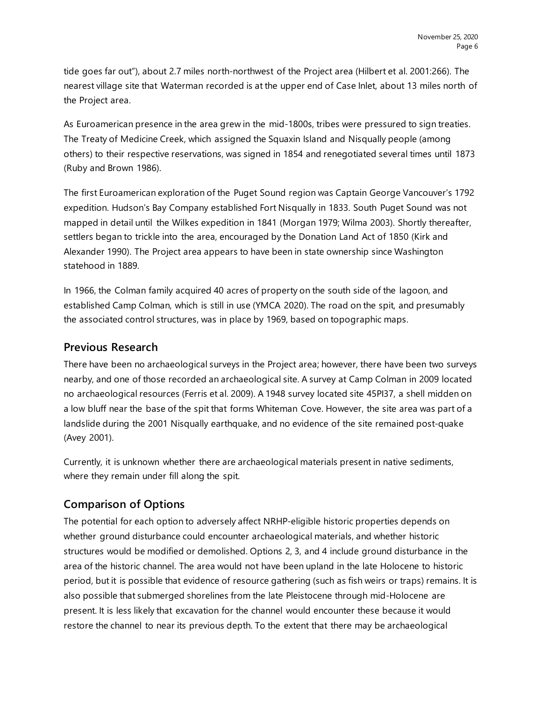tide goes far out"), about 2.7 miles north-northwest of the Project area (Hilbert et al. 2001:266). The nearest village site that Waterman recorded is at the upper end of Case Inlet, about 13 miles north of the Project area.

As Euroamerican presence in the area grew in the mid-1800s, tribes were pressured to sign treaties. The Treaty of Medicine Creek, which assigned the Squaxin Island and Nisqually people (among others) to their respective reservations, was signed in 1854 and renegotiated several times until 1873 (Ruby and Brown 1986).

The first Euroamerican exploration of the Puget Sound region was Captain George Vancouver's 1792 expedition. Hudson's Bay Company established Fort Nisqually in 1833. South Puget Sound was not mapped in detail until the Wilkes expedition in 1841 (Morgan 1979; Wilma 2003). Shortly thereafter, settlers began to trickle into the area, encouraged by the Donation Land Act of 1850 (Kirk and Alexander 1990). The Project area appears to have been in state ownership since Washington statehood in 1889.

In 1966, the Colman family acquired 40 acres of property on the south side of the lagoon, and established Camp Colman, which is still in use (YMCA 2020). The road on the spit, and presumably the associated control structures, was in place by 1969, based on topographic maps.

#### **Previous Research**

There have been no archaeological surveys in the Project area; however, there have been two surveys nearby, and one of those recorded an archaeological site. A survey at Camp Colman in 2009 located no archaeological resources (Ferris et al. 2009). A 1948 survey located site 45PI37, a shell midden on a low bluff near the base of the spit that forms Whiteman Cove. However, the site area was part of a landslide during the 2001 Nisqually earthquake, and no evidence of the site remained post-quake (Avey 2001).

Currently, it is unknown whether there are archaeological materials present in native sediments, where they remain under fill along the spit.

#### **Comparison of Options**

The potential for each option to adversely affect NRHP-eligible historic properties depends on whether ground disturbance could encounter archaeological materials, and whether historic structures would be modified or demolished. Options 2, 3, and 4 include ground disturbance in the area of the historic channel. The area would not have been upland in the late Holocene to historic period, but it is possible that evidence of resource gathering (such as fish weirs or traps) remains. It is also possible that submerged shorelines from the late Pleistocene through mid-Holocene are present. It is less likely that excavation for the channel would encounter these because it would restore the channel to near its previous depth. To the extent that there may be archaeological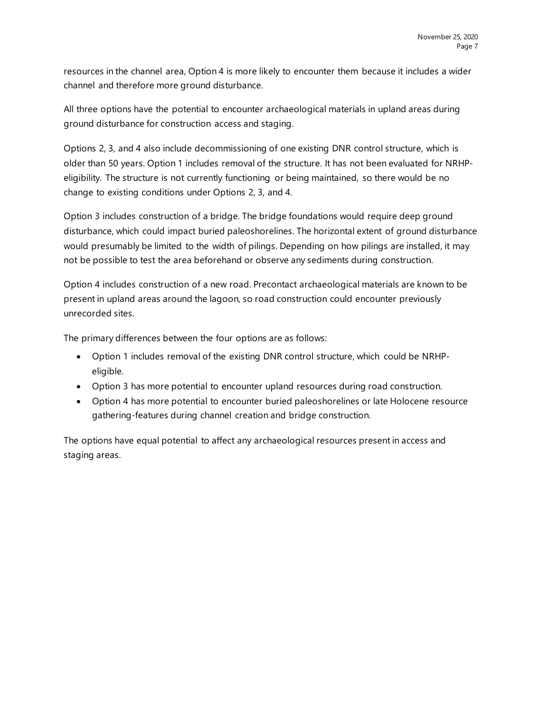resources in the channel area, Option 4 is more likely to encounter them because it includes a wider channel and therefore more ground disturbance.

All three options have the potential to encounter archaeological materials in upland areas during ground disturbance for construction access and staging.

Options 2, 3, and 4 also include decommissioning of one existing DNR control structure, which is older than 50 years. Option 1 includes removal of the structure. It has not been evaluated for NRHPeligibility. The structure is not currently functioning or being maintained, so there would be no change to existing conditions under Options 2, 3, and 4.

Option 3 includes construction of a bridge. The bridge foundations would require deep ground disturbance, which could impact buried paleoshorelines. The horizontal extent of ground disturbance would presumably be limited to the width of pilings. Depending on how pilings are installed, it may not be possible to test the area beforehand or observe any sediments during construction.

Option 4 includes construction of a new road. Precontact archaeological materials are known to be present in upland areas around the lagoon, so road construction could encounter previously unrecorded sites.

The primary differences between the four options are as follows:

- Option 1 includes removal of the existing DNR control structure, which could be NRHPeligible.
- Option 3 has more potential to encounter upland resources during road construction.
- Option 4 has more potential to encounter buried paleoshorelines or late Holocene resource gathering-features during channel creation and bridge construction.

The options have equal potential to affect any archaeological resources present in access and staging areas.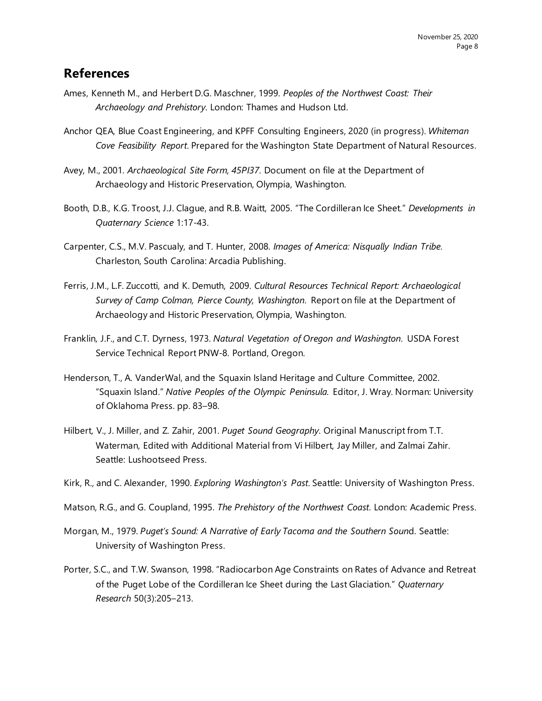## **References**

- Ames, Kenneth M., and Herbert D.G. Maschner, 1999. *Peoples of the Northwest Coast: Their Archaeology and Prehistory*. London: Thames and Hudson Ltd.
- Anchor QEA, Blue Coast Engineering, and KPFF Consulting Engineers, 2020 (in progress). *Whiteman Cove Feasibility Report*. Prepared for the Washington State Department of Natural Resources.
- Avey, M., 2001. *Archaeological Site Form, 45PI37*. Document on file at the Department of Archaeology and Historic Preservation, Olympia, Washington.
- Booth, D.B., K.G. Troost, J.J. Clague, and R.B. Waitt, 2005. "The Cordilleran Ice Sheet." *Developments in Quaternary Science* 1:17-43.
- Carpenter, C.S., M.V. Pascualy, and T. Hunter, 2008. *Images of America: Nisqually Indian Tribe*. Charleston, South Carolina: Arcadia Publishing.
- Ferris, J.M., L.F. Zuccotti, and K. Demuth, 2009. *Cultural Resources Technical Report: Archaeological Survey of Camp Colman, Pierce County, Washington*. Report on file at the Department of Archaeology and Historic Preservation, Olympia, Washington.
- Franklin, J.F., and C.T. Dyrness, 1973. *Natural Vegetation of Oregon and Washington*. USDA Forest Service Technical Report PNW-8. Portland, Oregon.
- Henderson, T., A. VanderWal, and the Squaxin Island Heritage and Culture Committee, 2002. "Squaxin Island." *Native Peoples of the Olympic Peninsula.* Editor, J. Wray. Norman: University of Oklahoma Press. pp. 83–98.
- Hilbert, V., J. Miller, and Z. Zahir, 2001. *Puget Sound Geography*. Original Manuscript from T.T. Waterman, Edited with Additional Material from Vi Hilbert, Jay Miller, and Zalmai Zahir. Seattle: Lushootseed Press.
- Kirk, R., and C. Alexander, 1990. *Exploring Washington's Past*. Seattle: University of Washington Press.
- Matson, R.G., and G. Coupland, 1995. *The Prehistory of the Northwest Coast*. London: Academic Press.
- Morgan, M., 1979. *Puget's Sound: A Narrative of Early Tacoma and the Southern Soun*d. Seattle: University of Washington Press.
- Porter, S.C., and T.W. Swanson, 1998. "Radiocarbon Age Constraints on Rates of Advance and Retreat of the Puget Lobe of the Cordilleran Ice Sheet during the Last Glaciation." *Quaternary Research* 50(3):205–213.